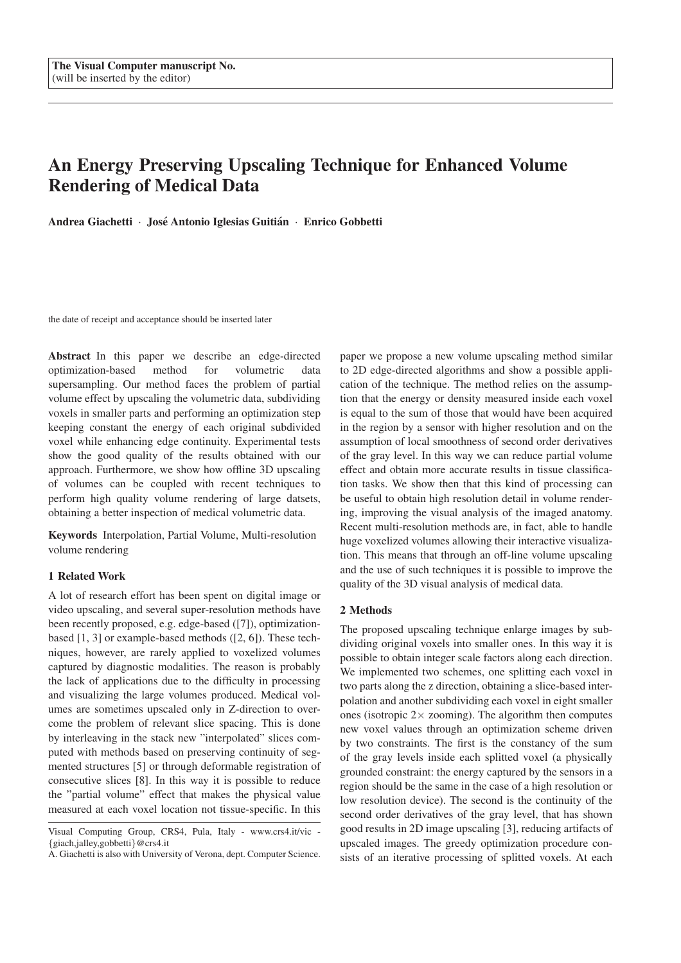# **An Energy Preserving Upscaling Technique for Enhanced Volume Rendering of Medical Data**

**Andrea Giachetti** · **Jose Antonio Iglesias Guiti ´ an´** · **Enrico Gobbetti**

the date of receipt and acceptance should be inserted later

**Abstract** In this paper we describe an edge-directed optimization-based method for volumetric data supersampling. Our method faces the problem of partial volume effect by upscaling the volumetric data, subdividing voxels in smaller parts and performing an optimization step keeping constant the energy of each original subdivided voxel while enhancing edge continuity. Experimental tests show the good quality of the results obtained with our approach. Furthermore, we show how offline 3D upscaling of volumes can be coupled with recent techniques to perform high quality volume rendering of large datsets, obtaining a better inspection of medical volumetric data.

**Keywords** Interpolation, Partial Volume, Multi-resolution volume rendering

## **1 Related Work**

A lot of research effort has been spent on digital image or video upscaling, and several super-resolution methods have been recently proposed, e.g. edge-based ([7]), optimizationbased [1, 3] or example-based methods ([2, 6]). These techniques, however, are rarely applied to voxelized volumes captured by diagnostic modalities. The reason is probably the lack of applications due to the difficulty in processing and visualizing the large volumes produced. Medical volumes are sometimes upscaled only in Z-direction to overcome the problem of relevant slice spacing. This is done by interleaving in the stack new "interpolated" slices computed with methods based on preserving continuity of segmented structures [5] or through deformable registration of consecutive slices [8]. In this way it is possible to reduce the "partial volume" effect that makes the physical value measured at each voxel location not tissue-specific. In this

paper we propose a new volume upscaling method similar to 2D edge-directed algorithms and show a possible application of the technique. The method relies on the assumption that the energy or density measured inside each voxel is equal to the sum of those that would have been acquired in the region by a sensor with higher resolution and on the assumption of local smoothness of second order derivatives of the gray level. In this way we can reduce partial volume effect and obtain more accurate results in tissue classification tasks. We show then that this kind of processing can be useful to obtain high resolution detail in volume rendering, improving the visual analysis of the imaged anatomy. Recent multi-resolution methods are, in fact, able to handle huge voxelized volumes allowing their interactive visualization. This means that through an off-line volume upscaling and the use of such techniques it is possible to improve the quality of the 3D visual analysis of medical data.

### **2 Methods**

The proposed upscaling technique enlarge images by subdividing original voxels into smaller ones. In this way it is possible to obtain integer scale factors along each direction. We implemented two schemes, one splitting each voxel in two parts along the z direction, obtaining a slice-based interpolation and another subdividing each voxel in eight smaller ones (isotropic  $2 \times$  zooming). The algorithm then computes new voxel values through an optimization scheme driven by two constraints. The first is the constancy of the sum of the gray levels inside each splitted voxel (a physically grounded constraint: the energy captured by the sensors in a region should be the same in the case of a high resolution or low resolution device). The second is the continuity of the second order derivatives of the gray level, that has shown good results in 2D image upscaling [3], reducing artifacts of upscaled images. The greedy optimization procedure consists of an iterative processing of splitted voxels. At each

Visual Computing Group, CRS4, Pula, Italy - www.crs4.it/vic - {giach,jalley,gobbetti}@crs4.it

A. Giachetti is also with University of Verona, dept. Computer Science.